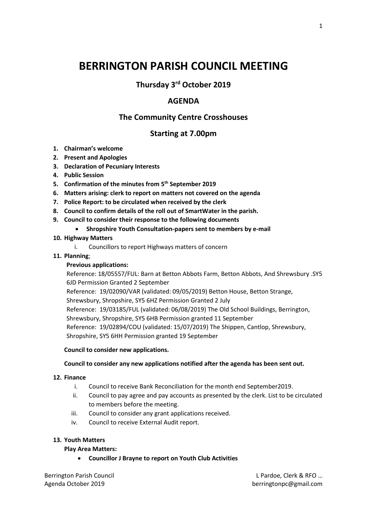# **BERRINGTON PARISH COUNCIL MEETING**

## **Thursday 3rd October 2019**

## **AGENDA**

## **The Community Centre Crosshouses**

### **Starting at 7.00pm**

- **1. Chairman's welcome**
- **2. Present and Apologies**
- **3. Declaration of Pecuniary Interests**
- **4. Public Session**
- **5. Confirmation of the minutes from 5 th September 2019**
- **6. Matters arising: clerk to report on matters not covered on the agenda**
- **7. Police Report: to be circulated when received by the clerk**
- **8. Council to confirm details of the roll out of SmartWater in the parish.**
- **9. Council to consider their response to the following documents**
	- **Shropshire Youth Consultation-papers sent to members by e-mail**

#### **10. Highway Matters**

i. Councillors to report Highways matters of concern

#### **11. Planning**;

#### **Previous applications:**

Reference: 18/05557/FUL: Barn at Betton Abbots Farm, Betton Abbots, And Shrewsbury .SY5 6JD Permission Granted 2 September

Reference: 19/02090/VAR (validated: 09/05/2019) Betton House, Betton Strange,

Shrewsbury, Shropshire, SY5 6HZ Permission Granted 2 July

Reference: 19/03185/FUL (validated: 06/08/2019) The Old School Buildings, Berrington, Shrewsbury, Shropshire, SY5 6HB Permission granted 11 September Reference: 19/02894/COU (validated: 15/07/2019) The Shippen, Cantlop, Shrewsbury,

Shropshire, SY5 6HH Permission granted 19 September

#### **Council to consider new applications.**

#### **Council to consider any new applications notified after the agenda has been sent out.**

#### **12. Finance**

- i. Council to receive Bank Reconciliation for the month end September2019.
- ii. Council to pay agree and pay accounts as presented by the clerk. List to be circulated to members before the meeting.
- iii. Council to consider any grant applications received.
- iv. Council to receive External Audit report.

#### **13. Youth Matters**

#### **Play Area Matters:**

**Councillor J Brayne to report on Youth Club Activities**